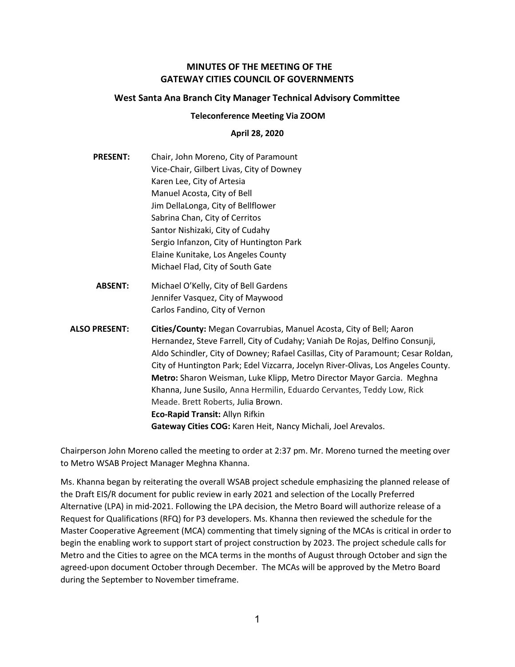# MINUTES OF THE MEETING OF THE GATEWAY CITIES COUNCIL OF GOVERNMENTS

### West Santa Ana Branch City Manager Technical Advisory Committee

#### Teleconference Meeting Via ZOOM

#### April 28, 2020

- PRESENT: Chair, John Moreno, City of Paramount Vice-Chair, Gilbert Livas, City of Downey Karen Lee, City of Artesia Manuel Acosta, City of Bell Jim DellaLonga, City of Bellflower Sabrina Chan, City of Cerritos Santor Nishizaki, City of Cudahy Sergio Infanzon, City of Huntington Park Elaine Kunitake, Los Angeles County Michael Flad, City of South Gate
- ABSENT: Michael O'Kelly, City of Bell Gardens Jennifer Vasquez, City of Maywood Carlos Fandino, City of Vernon
- ALSO PRESENT: Cities/County: Megan Covarrubias, Manuel Acosta, City of Bell; Aaron Hernandez, Steve Farrell, City of Cudahy; Vaniah De Rojas, Delfino Consunji, Aldo Schindler, City of Downey; Rafael Casillas, City of Paramount; Cesar Roldan, City of Huntington Park; Edel Vizcarra, Jocelyn River-Olivas, Los Angeles County. Metro: Sharon Weisman, Luke Klipp, Metro Director Mayor Garcia. Meghna Khanna, June Susilo, Anna Hermilin, Eduardo Cervantes, Teddy Low, Rick Meade. Brett Roberts, Julia Brown. Eco-Rapid Transit: Allyn Rifkin Gateway Cities COG: Karen Heit, Nancy Michali, Joel Arevalos.

Chairperson John Moreno called the meeting to order at 2:37 pm. Mr. Moreno turned the meeting over to Metro WSAB Project Manager Meghna Khanna.

Ms. Khanna began by reiterating the overall WSAB project schedule emphasizing the planned release of the Draft EIS/R document for public review in early 2021 and selection of the Locally Preferred Alternative (LPA) in mid-2021. Following the LPA decision, the Metro Board will authorize release of a Request for Qualifications (RFQ) for P3 developers. Ms. Khanna then reviewed the schedule for the Master Cooperative Agreement (MCA) commenting that timely signing of the MCAs is critical in order to begin the enabling work to support start of project construction by 2023. The project schedule calls for Metro and the Cities to agree on the MCA terms in the months of August through October and sign the agreed-upon document October through December. The MCAs will be approved by the Metro Board during the September to November timeframe.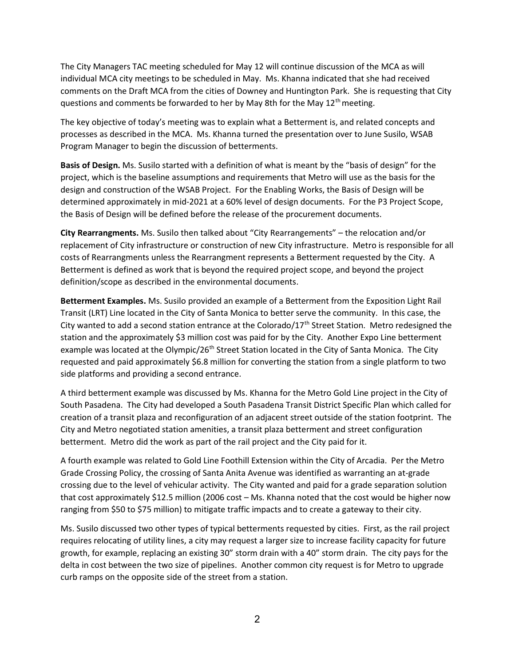The City Managers TAC meeting scheduled for May 12 will continue discussion of the MCA as will individual MCA city meetings to be scheduled in May. Ms. Khanna indicated that she had received comments on the Draft MCA from the cities of Downey and Huntington Park. She is requesting that City questions and comments be forwarded to her by May 8th for the May  $12<sup>th</sup>$  meeting.

The key objective of today's meeting was to explain what a Betterment is, and related concepts and processes as described in the MCA. Ms. Khanna turned the presentation over to June Susilo, WSAB Program Manager to begin the discussion of betterments.

Basis of Design. Ms. Susilo started with a definition of what is meant by the "basis of design" for the project, which is the baseline assumptions and requirements that Metro will use as the basis for the design and construction of the WSAB Project. For the Enabling Works, the Basis of Design will be determined approximately in mid-2021 at a 60% level of design documents. For the P3 Project Scope, the Basis of Design will be defined before the release of the procurement documents.

City Rearrangments. Ms. Susilo then talked about "City Rearrangements" – the relocation and/or replacement of City infrastructure or construction of new City infrastructure. Metro is responsible for all costs of Rearrangments unless the Rearrangment represents a Betterment requested by the City. A Betterment is defined as work that is beyond the required project scope, and beyond the project definition/scope as described in the environmental documents.

Betterment Examples. Ms. Susilo provided an example of a Betterment from the Exposition Light Rail Transit (LRT) Line located in the City of Santa Monica to better serve the community. In this case, the City wanted to add a second station entrance at the Colorado/17<sup>th</sup> Street Station. Metro redesigned the station and the approximately \$3 million cost was paid for by the City. Another Expo Line betterment example was located at the Olympic/26<sup>th</sup> Street Station located in the City of Santa Monica. The City requested and paid approximately \$6.8 million for converting the station from a single platform to two side platforms and providing a second entrance.

A third betterment example was discussed by Ms. Khanna for the Metro Gold Line project in the City of South Pasadena. The City had developed a South Pasadena Transit District Specific Plan which called for creation of a transit plaza and reconfiguration of an adjacent street outside of the station footprint. The City and Metro negotiated station amenities, a transit plaza betterment and street configuration betterment. Metro did the work as part of the rail project and the City paid for it.

A fourth example was related to Gold Line Foothill Extension within the City of Arcadia. Per the Metro Grade Crossing Policy, the crossing of Santa Anita Avenue was identified as warranting an at-grade crossing due to the level of vehicular activity. The City wanted and paid for a grade separation solution that cost approximately \$12.5 million (2006 cost – Ms. Khanna noted that the cost would be higher now ranging from \$50 to \$75 million) to mitigate traffic impacts and to create a gateway to their city.

Ms. Susilo discussed two other types of typical betterments requested by cities. First, as the rail project requires relocating of utility lines, a city may request a larger size to increase facility capacity for future growth, for example, replacing an existing 30" storm drain with a 40" storm drain. The city pays for the delta in cost between the two size of pipelines. Another common city request is for Metro to upgrade curb ramps on the opposite side of the street from a station.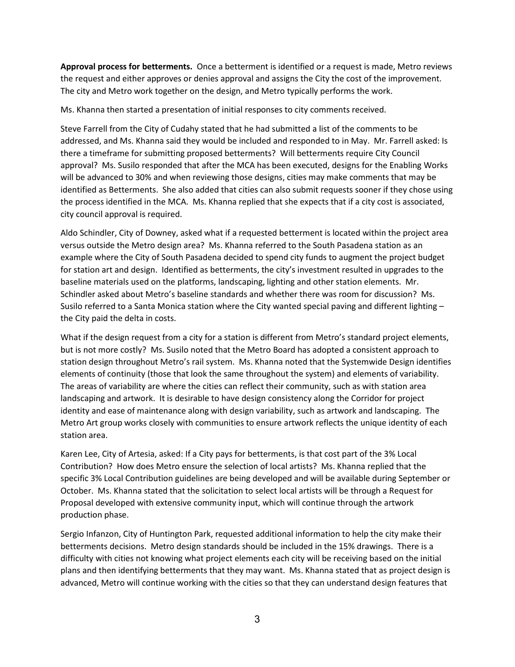Approval process for betterments. Once a betterment is identified or a request is made, Metro reviews the request and either approves or denies approval and assigns the City the cost of the improvement. The city and Metro work together on the design, and Metro typically performs the work.

Ms. Khanna then started a presentation of initial responses to city comments received.

Steve Farrell from the City of Cudahy stated that he had submitted a list of the comments to be addressed, and Ms. Khanna said they would be included and responded to in May. Mr. Farrell asked: Is there a timeframe for submitting proposed betterments? Will betterments require City Council approval? Ms. Susilo responded that after the MCA has been executed, designs for the Enabling Works will be advanced to 30% and when reviewing those designs, cities may make comments that may be identified as Betterments. She also added that cities can also submit requests sooner if they chose using the process identified in the MCA. Ms. Khanna replied that she expects that if a city cost is associated, city council approval is required.

Aldo Schindler, City of Downey, asked what if a requested betterment is located within the project area versus outside the Metro design area? Ms. Khanna referred to the South Pasadena station as an example where the City of South Pasadena decided to spend city funds to augment the project budget for station art and design. Identified as betterments, the city's investment resulted in upgrades to the baseline materials used on the platforms, landscaping, lighting and other station elements. Mr. Schindler asked about Metro's baseline standards and whether there was room for discussion? Ms. Susilo referred to a Santa Monica station where the City wanted special paving and different lighting – the City paid the delta in costs.

What if the design request from a city for a station is different from Metro's standard project elements, but is not more costly? Ms. Susilo noted that the Metro Board has adopted a consistent approach to station design throughout Metro's rail system. Ms. Khanna noted that the Systemwide Design identifies elements of continuity (those that look the same throughout the system) and elements of variability. The areas of variability are where the cities can reflect their community, such as with station area landscaping and artwork. It is desirable to have design consistency along the Corridor for project identity and ease of maintenance along with design variability, such as artwork and landscaping. The Metro Art group works closely with communities to ensure artwork reflects the unique identity of each station area.

Karen Lee, City of Artesia, asked: If a City pays for betterments, is that cost part of the 3% Local Contribution? How does Metro ensure the selection of local artists? Ms. Khanna replied that the specific 3% Local Contribution guidelines are being developed and will be available during September or October. Ms. Khanna stated that the solicitation to select local artists will be through a Request for Proposal developed with extensive community input, which will continue through the artwork production phase.

Sergio Infanzon, City of Huntington Park, requested additional information to help the city make their betterments decisions. Metro design standards should be included in the 15% drawings. There is a difficulty with cities not knowing what project elements each city will be receiving based on the initial plans and then identifying betterments that they may want. Ms. Khanna stated that as project design is advanced, Metro will continue working with the cities so that they can understand design features that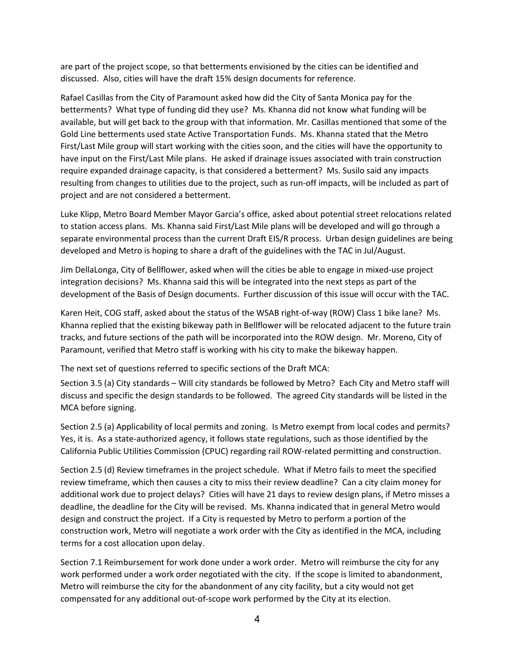are part of the project scope, so that betterments envisioned by the cities can be identified and discussed. Also, cities will have the draft 15% design documents for reference.

Rafael Casillas from the City of Paramount asked how did the City of Santa Monica pay for the betterments? What type of funding did they use? Ms. Khanna did not know what funding will be available, but will get back to the group with that information. Mr. Casillas mentioned that some of the Gold Line betterments used state Active Transportation Funds. Ms. Khanna stated that the Metro First/Last Mile group will start working with the cities soon, and the cities will have the opportunity to have input on the First/Last Mile plans. He asked if drainage issues associated with train construction require expanded drainage capacity, is that considered a betterment? Ms. Susilo said any impacts resulting from changes to utilities due to the project, such as run-off impacts, will be included as part of project and are not considered a betterment.

Luke Klipp, Metro Board Member Mayor Garcia's office, asked about potential street relocations related to station access plans. Ms. Khanna said First/Last Mile plans will be developed and will go through a separate environmental process than the current Draft EIS/R process. Urban design guidelines are being developed and Metro is hoping to share a draft of the guidelines with the TAC in Jul/August.

Jim DellaLonga, City of Bellflower, asked when will the cities be able to engage in mixed-use project integration decisions? Ms. Khanna said this will be integrated into the next steps as part of the development of the Basis of Design documents. Further discussion of this issue will occur with the TAC.

Karen Heit, COG staff, asked about the status of the WSAB right-of-way (ROW) Class 1 bike lane? Ms. Khanna replied that the existing bikeway path in Bellflower will be relocated adjacent to the future train tracks, and future sections of the path will be incorporated into the ROW design. Mr. Moreno, City of Paramount, verified that Metro staff is working with his city to make the bikeway happen.

The next set of questions referred to specific sections of the Draft MCA:

Section 3.5 (a) City standards – Will city standards be followed by Metro? Each City and Metro staff will discuss and specific the design standards to be followed. The agreed City standards will be listed in the MCA before signing.

Section 2.5 (a) Applicability of local permits and zoning. Is Metro exempt from local codes and permits? Yes, it is. As a state-authorized agency, it follows state regulations, such as those identified by the California Public Utilities Commission (CPUC) regarding rail ROW-related permitting and construction.

Section 2.5 (d) Review timeframes in the project schedule. What if Metro fails to meet the specified review timeframe, which then causes a city to miss their review deadline? Can a city claim money for additional work due to project delays? Cities will have 21 days to review design plans, if Metro misses a deadline, the deadline for the City will be revised. Ms. Khanna indicated that in general Metro would design and construct the project. If a City is requested by Metro to perform a portion of the construction work, Metro will negotiate a work order with the City as identified in the MCA, including terms for a cost allocation upon delay.

Section 7.1 Reimbursement for work done under a work order. Metro will reimburse the city for any work performed under a work order negotiated with the city. If the scope is limited to abandonment, Metro will reimburse the city for the abandonment of any city facility, but a city would not get compensated for any additional out-of-scope work performed by the City at its election.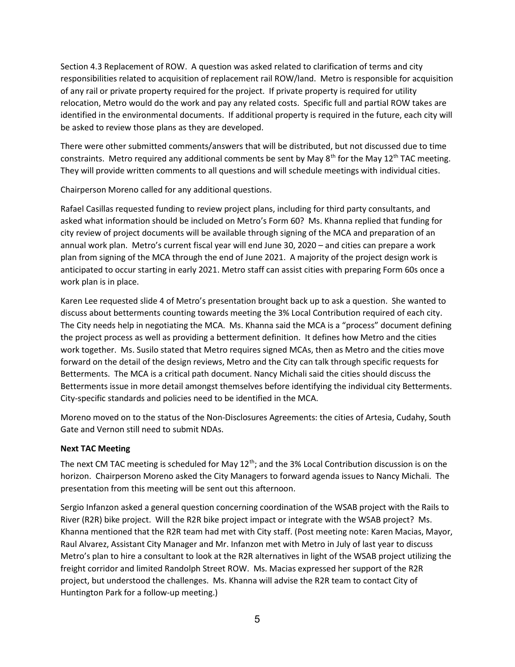Section 4.3 Replacement of ROW. A question was asked related to clarification of terms and city responsibilities related to acquisition of replacement rail ROW/land. Metro is responsible for acquisition of any rail or private property required for the project. If private property is required for utility relocation, Metro would do the work and pay any related costs. Specific full and partial ROW takes are identified in the environmental documents. If additional property is required in the future, each city will be asked to review those plans as they are developed.

There were other submitted comments/answers that will be distributed, but not discussed due to time constraints. Metro required any additional comments be sent by May 8<sup>th</sup> for the May 12<sup>th</sup> TAC meeting. They will provide written comments to all questions and will schedule meetings with individual cities.

Chairperson Moreno called for any additional questions.

Rafael Casillas requested funding to review project plans, including for third party consultants, and asked what information should be included on Metro's Form 60? Ms. Khanna replied that funding for city review of project documents will be available through signing of the MCA and preparation of an annual work plan. Metro's current fiscal year will end June 30, 2020 – and cities can prepare a work plan from signing of the MCA through the end of June 2021. A majority of the project design work is anticipated to occur starting in early 2021. Metro staff can assist cities with preparing Form 60s once a work plan is in place.

Karen Lee requested slide 4 of Metro's presentation brought back up to ask a question. She wanted to discuss about betterments counting towards meeting the 3% Local Contribution required of each city. The City needs help in negotiating the MCA. Ms. Khanna said the MCA is a "process" document defining the project process as well as providing a betterment definition. It defines how Metro and the cities work together. Ms. Susilo stated that Metro requires signed MCAs, then as Metro and the cities move forward on the detail of the design reviews, Metro and the City can talk through specific requests for Betterments. The MCA is a critical path document. Nancy Michali said the cities should discuss the Betterments issue in more detail amongst themselves before identifying the individual city Betterments. City-specific standards and policies need to be identified in the MCA.

Moreno moved on to the status of the Non-Disclosures Agreements: the cities of Artesia, Cudahy, South Gate and Vernon still need to submit NDAs.

## Next TAC Meeting

The next CM TAC meeting is scheduled for May  $12<sup>th</sup>$ ; and the 3% Local Contribution discussion is on the horizon. Chairperson Moreno asked the City Managers to forward agenda issues to Nancy Michali. The presentation from this meeting will be sent out this afternoon.

Sergio Infanzon asked a general question concerning coordination of the WSAB project with the Rails to River (R2R) bike project. Will the R2R bike project impact or integrate with the WSAB project? Ms. Khanna mentioned that the R2R team had met with City staff. (Post meeting note: Karen Macias, Mayor, Raul Alvarez, Assistant City Manager and Mr. Infanzon met with Metro in July of last year to discuss Metro's plan to hire a consultant to look at the R2R alternatives in light of the WSAB project utilizing the freight corridor and limited Randolph Street ROW. Ms. Macias expressed her support of the R2R project, but understood the challenges. Ms. Khanna will advise the R2R team to contact City of Huntington Park for a follow-up meeting.)